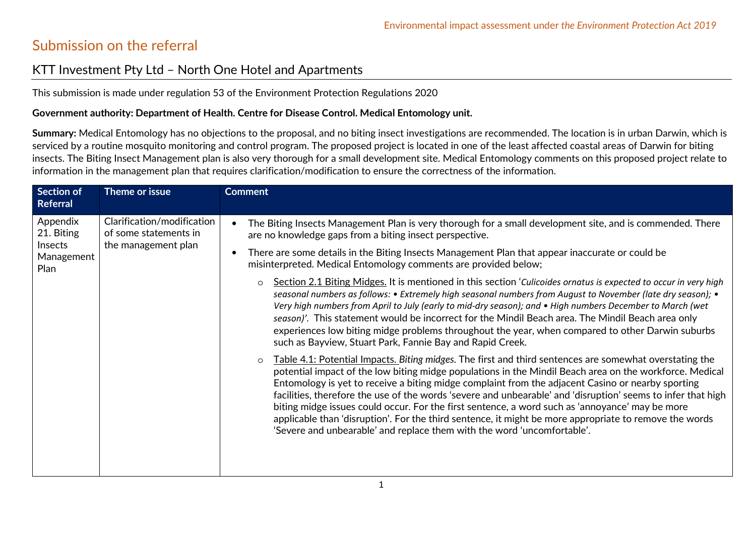## Submission on the referral

## KTT Investment Pty Ltd – North One Hotel and Apartments

This submission is made under regulation 53 of the Environment Protection Regulations 2020

## **Government authority: Department of Health. Centre for Disease Control. Medical Entomology unit.**

Summary: Medical Entomology has no objections to the proposal, and no biting insect investigations are recommended. The location is in urban Darwin, which is serviced by a routine mosquito monitoring and control program. The proposed project is located in one of the least affected coastal areas of Darwin for biting insects. The Biting Insect Management plan is also very thorough for a small development site. Medical Entomology comments on this proposed project relate to information in the management plan that requires clarification/modification to ensure the correctness of the information.

| <b>Section of</b><br><b>Referral</b>                    | Theme or issue                                                             | <b>Comment</b>                                                                                                                                                                                                                                                                                                                                                                                                                                                                                                                                                                                                                                                                                                                                                                                                                                                                                                                                                                                                                                                                                                                                                                                                                                                                                                                                                                                                                                                                                                                                                                                                                                                           |
|---------------------------------------------------------|----------------------------------------------------------------------------|--------------------------------------------------------------------------------------------------------------------------------------------------------------------------------------------------------------------------------------------------------------------------------------------------------------------------------------------------------------------------------------------------------------------------------------------------------------------------------------------------------------------------------------------------------------------------------------------------------------------------------------------------------------------------------------------------------------------------------------------------------------------------------------------------------------------------------------------------------------------------------------------------------------------------------------------------------------------------------------------------------------------------------------------------------------------------------------------------------------------------------------------------------------------------------------------------------------------------------------------------------------------------------------------------------------------------------------------------------------------------------------------------------------------------------------------------------------------------------------------------------------------------------------------------------------------------------------------------------------------------------------------------------------------------|
| Appendix<br>21. Biting<br>Insects<br>Management<br>Plan | Clarification/modification<br>of some statements in<br>the management plan | The Biting Insects Management Plan is very thorough for a small development site, and is commended. There<br>$\bullet$<br>are no knowledge gaps from a biting insect perspective.<br>There are some details in the Biting Insects Management Plan that appear inaccurate or could be<br>$\bullet$<br>misinterpreted. Medical Entomology comments are provided below;<br>Section 2.1 Biting Midges. It is mentioned in this section 'Culicoides ornatus is expected to occur in very high<br>$\circ$<br>seasonal numbers as follows: • Extremely high seasonal numbers from August to November (late dry season); •<br>Very high numbers from April to July (early to mid-dry season); and • High numbers December to March (wet<br>season)'. This statement would be incorrect for the Mindil Beach area. The Mindil Beach area only<br>experiences low biting midge problems throughout the year, when compared to other Darwin suburbs<br>such as Bayview, Stuart Park, Fannie Bay and Rapid Creek.<br>Table 4.1: Potential Impacts. Biting midges. The first and third sentences are somewhat overstating the<br>$\circ$<br>potential impact of the low biting midge populations in the Mindil Beach area on the workforce. Medical<br>Entomology is yet to receive a biting midge complaint from the adjacent Casino or nearby sporting<br>facilities, therefore the use of the words 'severe and unbearable' and 'disruption' seems to infer that high<br>biting midge issues could occur. For the first sentence, a word such as 'annoyance' may be more<br>applicable than 'disruption'. For the third sentence, it might be more appropriate to remove the words |
|                                                         |                                                                            | 'Severe and unbearable' and replace them with the word 'uncomfortable'.                                                                                                                                                                                                                                                                                                                                                                                                                                                                                                                                                                                                                                                                                                                                                                                                                                                                                                                                                                                                                                                                                                                                                                                                                                                                                                                                                                                                                                                                                                                                                                                                  |